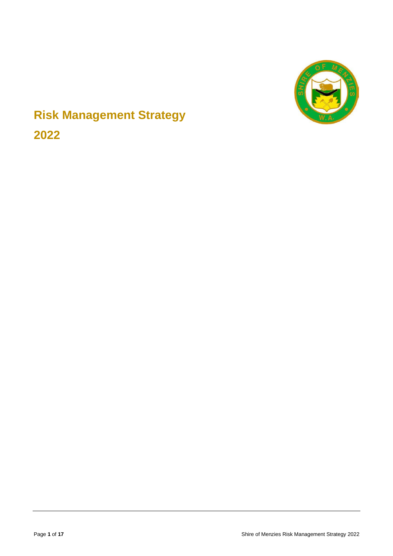

# **Risk Management Strategy 2022**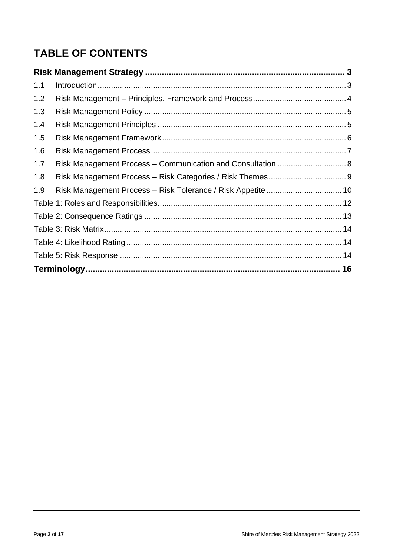## **TABLE OF CONTENTS**

| 1.1 |                                                             |  |
|-----|-------------------------------------------------------------|--|
| 1.2 |                                                             |  |
| 1.3 |                                                             |  |
| 1.4 |                                                             |  |
| 1.5 |                                                             |  |
| 1.6 |                                                             |  |
| 1.7 | Risk Management Process - Communication and Consultation  8 |  |
| 1.8 |                                                             |  |
| 1.9 |                                                             |  |
|     |                                                             |  |
|     |                                                             |  |
|     |                                                             |  |
|     |                                                             |  |
|     |                                                             |  |
|     |                                                             |  |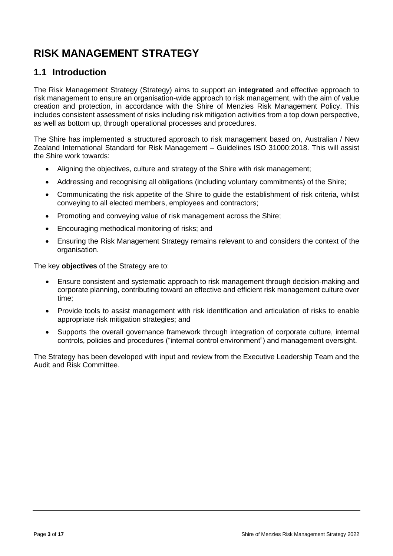#### <span id="page-2-1"></span><span id="page-2-0"></span>**1.1 Introduction**

The Risk Management Strategy (Strategy) aims to support an **integrated** and effective approach to risk management to ensure an organisation-wide approach to risk management, with the aim of value creation and protection, in accordance with the Shire of Menzies Risk Management Policy. This includes consistent assessment of risks including risk mitigation activities from a top down perspective, as well as bottom up, through operational processes and procedures.

The Shire has implemented a structured approach to risk management based on, Australian / New Zealand International Standard for Risk Management – Guidelines ISO 31000:2018. This will assist the Shire work towards:

- Aligning the objectives, culture and strategy of the Shire with risk management;
- Addressing and recognising all obligations (including voluntary commitments) of the Shire;
- Communicating the risk appetite of the Shire to guide the establishment of risk criteria, whilst conveying to all elected members, employees and contractors;
- Promoting and conveying value of risk management across the Shire;
- Encouraging methodical monitoring of risks; and
- Ensuring the Risk Management Strategy remains relevant to and considers the context of the organisation.

The key **objectives** of the Strategy are to:

- Ensure consistent and systematic approach to risk management through decision-making and corporate planning, contributing toward an effective and efficient risk management culture over time;
- Provide tools to assist management with risk identification and articulation of risks to enable appropriate risk mitigation strategies; and
- Supports the overall governance framework through integration of corporate culture, internal controls, policies and procedures ("internal control environment") and management oversight.

The Strategy has been developed with input and review from the Executive Leadership Team and the Audit and Risk Committee.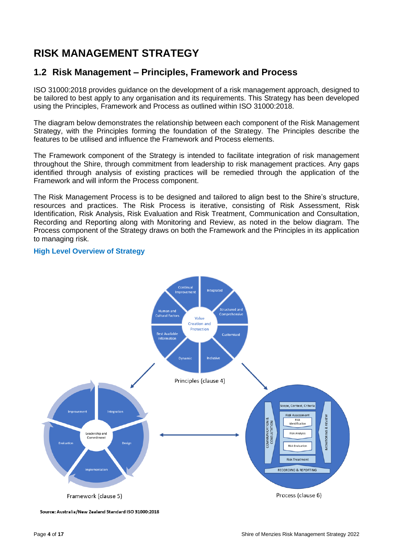### <span id="page-3-0"></span>**1.2 Risk Management – Principles, Framework and Process**

ISO 31000:2018 provides guidance on the development of a risk management approach, designed to be tailored to best apply to any organisation and its requirements. This Strategy has been developed using the Principles, Framework and Process as outlined within ISO 31000:2018.

The diagram below demonstrates the relationship between each component of the Risk Management Strategy, with the Principles forming the foundation of the Strategy. The Principles describe the features to be utilised and influence the Framework and Process elements.

The Framework component of the Strategy is intended to facilitate integration of risk management throughout the Shire, through commitment from leadership to risk management practices. Any gaps identified through analysis of existing practices will be remedied through the application of the Framework and will inform the Process component.

The Risk Management Process is to be designed and tailored to align best to the Shire's structure, resources and practices. The Risk Process is iterative, consisting of Risk Assessment, Risk Identification, Risk Analysis, Risk Evaluation and Risk Treatment, Communication and Consultation, Recording and Reporting along with Monitoring and Review, as noted in the below diagram. The Process component of the Strategy draws on both the Framework and the Principles in its application to managing risk.



#### **High Level Overview of Strategy**

Source: Australia/New Zealand Standard ISO 31000:2018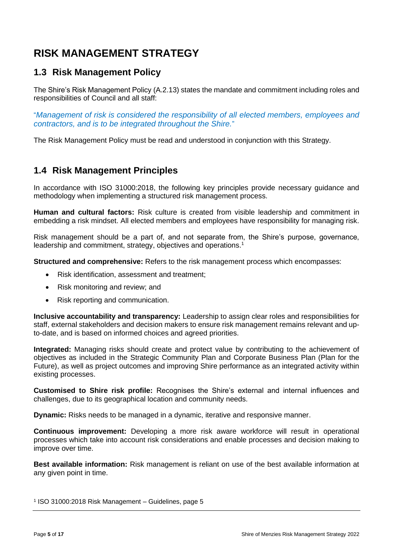#### <span id="page-4-0"></span>**1.3 Risk Management Policy**

The Shire's Risk Management Policy (A.2.13) states the mandate and commitment including roles and responsibilities of Council and all staff:

"*Management of risk is considered the responsibility of all elected members, employees and contractors, and is to be integrated throughout the Shire.*"

The Risk Management Policy must be read and understood in conjunction with this Strategy.

#### <span id="page-4-1"></span>**1.4 Risk Management Principles**

In accordance with ISO 31000:2018, the following key principles provide necessary guidance and methodology when implementing a structured risk management process.

**Human and cultural factors:** Risk culture is created from visible leadership and commitment in embedding a risk mindset. All elected members and employees have responsibility for managing risk.

Risk management should be a part of, and not separate from, the Shire's purpose, governance, leadership and commitment, strategy, objectives and operations. 1

**Structured and comprehensive:** Refers to the risk management process which encompasses:

- Risk identification, assessment and treatment;
- Risk monitoring and review; and
- Risk reporting and communication.

**Inclusive accountability and transparency:** Leadership to assign clear roles and responsibilities for staff, external stakeholders and decision makers to ensure risk management remains relevant and upto-date, and is based on informed choices and agreed priorities.

**Integrated:** Managing risks should create and protect value by contributing to the achievement of objectives as included in the Strategic Community Plan and Corporate Business Plan (Plan for the Future), as well as project outcomes and improving Shire performance as an integrated activity within existing processes.

**Customised to Shire risk profile:** Recognises the Shire's external and internal influences and challenges, due to its geographical location and community needs.

**Dynamic:** Risks needs to be managed in a dynamic, iterative and responsive manner.

**Continuous improvement:** Developing a more risk aware workforce will result in operational processes which take into account risk considerations and enable processes and decision making to improve over time.

**Best available information:** Risk management is reliant on use of the best available information at any given point in time.

1 ISO 31000:2018 Risk Management – Guidelines, page 5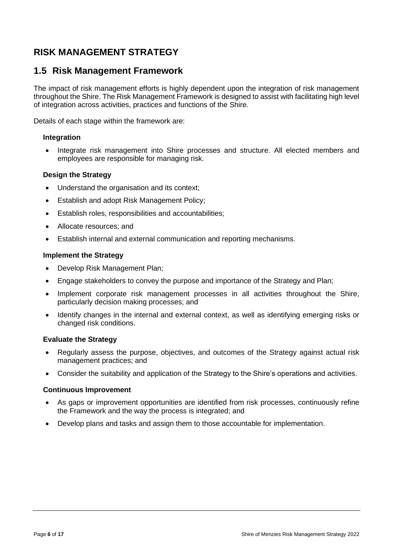#### <span id="page-5-0"></span>**1.5 Risk Management Framework**

The impact of risk management efforts is highly dependent upon the integration of risk management throughout the Shire. The Risk Management Framework is designed to assist with facilitating high level of integration across activities, practices and functions of the Shire.

Details of each stage within the framework are:

#### **Integration**

Integrate risk management into Shire processes and structure. All elected members and employees are responsible for managing risk.

#### **Design the Strategy**

- Understand the organisation and its context;
- Establish and adopt Risk Management Policy;
- Establish roles, responsibilities and accountabilities;
- Allocate resources; and
- Establish internal and external communication and reporting mechanisms.

#### **Implement the Strategy**

- Develop Risk Management Plan;
- Engage stakeholders to convey the purpose and importance of the Strategy and Plan;
- Implement corporate risk management processes in all activities throughout the Shire, particularly decision making processes; and
- Identify changes in the internal and external context, as well as identifying emerging risks or changed risk conditions.

#### **Evaluate the Strategy**

- Regularly assess the purpose, objectives, and outcomes of the Strategy against actual risk management practices; and
- Consider the suitability and application of the Strategy to the Shire's operations and activities.

#### **Continuous Improvement**

- As gaps or improvement opportunities are identified from risk processes, continuously refine the Framework and the way the process is integrated; and
- Develop plans and tasks and assign them to those accountable for implementation.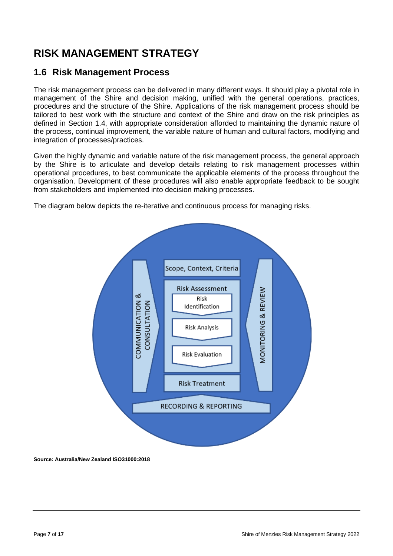### <span id="page-6-0"></span>**1.6 Risk Management Process**

The risk management process can be delivered in many different ways. It should play a pivotal role in management of the Shire and decision making, unified with the general operations, practices, procedures and the structure of the Shire. Applications of the risk management process should be tailored to best work with the structure and context of the Shire and draw on the risk principles as defined in Section 1.4, with appropriate consideration afforded to maintaining the dynamic nature of the process, continual improvement, the variable nature of human and cultural factors, modifying and integration of processes/practices.

Given the highly dynamic and variable nature of the risk management process, the general approach by the Shire is to articulate and develop details relating to risk management processes within operational procedures, to best communicate the applicable elements of the process throughout the organisation. Development of these procedures will also enable appropriate feedback to be sought from stakeholders and implemented into decision making processes.

The diagram below depicts the re-iterative and continuous process for managing risks.



**Source: Australia/New Zealand ISO31000:2018**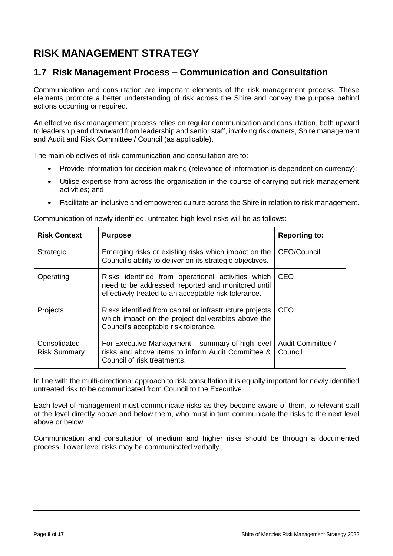### <span id="page-7-0"></span>**1.7 Risk Management Process – Communication and Consultation**

Communication and consultation are important elements of the risk management process. These elements promote a better understanding of risk across the Shire and convey the purpose behind actions occurring or required.

An effective risk management process relies on regular communication and consultation, both upward to leadership and downward from leadership and senior staff, involving risk owners, Shire management and Audit and Risk Committee / Council (as applicable).

The main objectives of risk communication and consultation are to:

- Provide information for decision making (relevance of information is dependent on currency);
- Utilise expertise from across the organisation in the course of carrying out risk management activities; and
- Facilitate an inclusive and empowered culture across the Shire in relation to risk management.

| <b>Risk Context</b>                 | <b>Purpose</b>                                                                                                                                                   | <b>Reporting to:</b>         |
|-------------------------------------|------------------------------------------------------------------------------------------------------------------------------------------------------------------|------------------------------|
| Strategic                           | Emerging risks or existing risks which impact on the<br>Council's ability to deliver on its strategic objectives.                                                | CEO/Council                  |
| Operating                           | Risks identified from operational activities which<br>need to be addressed, reported and monitored until<br>effectively treated to an acceptable risk tolerance. | CEO                          |
| Projects                            | Risks identified from capital or infrastructure projects<br>which impact on the project deliverables above the<br>Council's acceptable risk tolerance.           | CEO                          |
| Consolidated<br><b>Risk Summary</b> | For Executive Management – summary of high level<br>risks and above items to inform Audit Committee &<br>Council of risk treatments.                             | Audit Committee /<br>Council |

Communication of newly identified, untreated high level risks will be as follows:

In line with the multi-directional approach to risk consultation it is equally important for newly identified untreated risk to be communicated from Council to the Executive.

Each level of management must communicate risks as they become aware of them, to relevant staff at the level directly above and below them, who must in turn communicate the risks to the next level above or below.

Communication and consultation of medium and higher risks should be through a documented process. Lower level risks may be communicated verbally.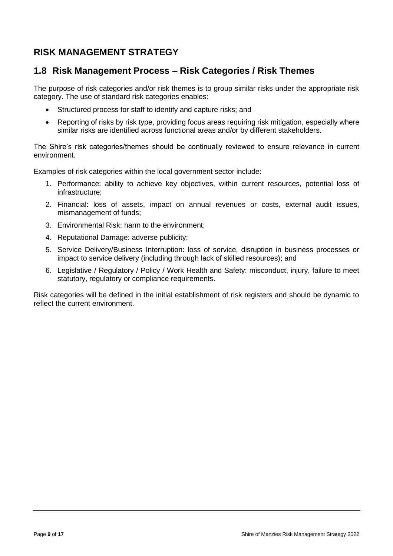### <span id="page-8-0"></span>**1.8 Risk Management Process – Risk Categories / Risk Themes**

The purpose of risk categories and/or risk themes is to group similar risks under the appropriate risk category. The use of standard risk categories enables:

- Structured process for staff to identify and capture risks; and
- Reporting of risks by risk type, providing focus areas requiring risk mitigation, especially where similar risks are identified across functional areas and/or by different stakeholders.

The Shire's risk categories/themes should be continually reviewed to ensure relevance in current environment.

Examples of risk categories within the local government sector include:

- 1. Performance: ability to achieve key objectives, within current resources, potential loss of infrastructure;
- 2. Financial: loss of assets, impact on annual revenues or costs, external audit issues, mismanagement of funds;
- 3. Environmental Risk: harm to the environment;
- 4. Reputational Damage: adverse publicity;
- 5. Service Delivery/Business Interruption: loss of service, disruption in business processes or impact to service delivery (including through lack of skilled resources); and
- 6. Legislative / Regulatory / Policy / Work Health and Safety: misconduct, injury, failure to meet statutory, regulatory or compliance requirements.

Risk categories will be defined in the initial establishment of risk registers and should be dynamic to reflect the current environment.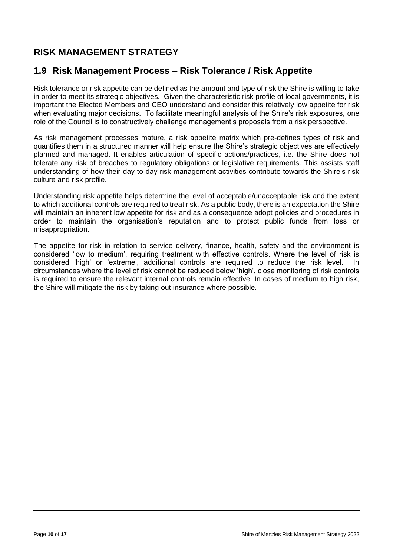### <span id="page-9-0"></span>**1.9 Risk Management Process – Risk Tolerance / Risk Appetite**

Risk tolerance or risk appetite can be defined as the amount and type of risk the Shire is willing to take in order to meet its strategic objectives. Given the characteristic risk profile of local governments, it is important the Elected Members and CEO understand and consider this relatively low appetite for risk when evaluating major decisions. To facilitate meaningful analysis of the Shire's risk exposures, one role of the Council is to constructively challenge management's proposals from a risk perspective.

As risk management processes mature, a risk appetite matrix which pre-defines types of risk and quantifies them in a structured manner will help ensure the Shire's strategic objectives are effectively planned and managed. It enables articulation of specific actions/practices, i.e. the Shire does not tolerate any risk of breaches to regulatory obligations or legislative requirements. This assists staff understanding of how their day to day risk management activities contribute towards the Shire's risk culture and risk profile.

Understanding risk appetite helps determine the level of acceptable/unacceptable risk and the extent to which additional controls are required to treat risk. As a public body, there is an expectation the Shire will maintain an inherent low appetite for risk and as a consequence adopt policies and procedures in order to maintain the organisation's reputation and to protect public funds from loss or misappropriation.

The appetite for risk in relation to service delivery, finance, health, safety and the environment is considered 'low to medium', requiring treatment with effective controls. Where the level of risk is considered 'high' or 'extreme', additional controls are required to reduce the risk level. In circumstances where the level of risk cannot be reduced below 'high', close monitoring of risk controls is required to ensure the relevant internal controls remain effective. In cases of medium to high risk, the Shire will mitigate the risk by taking out insurance where possible.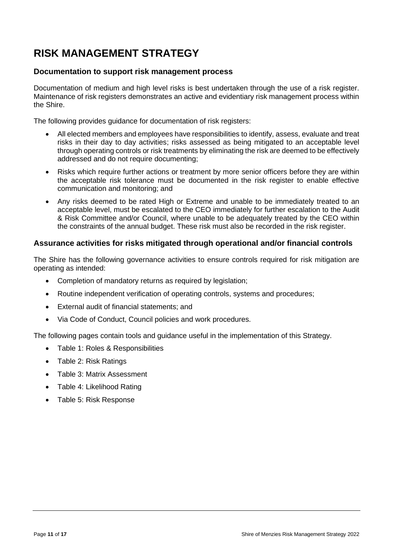#### **Documentation to support risk management process**

Documentation of medium and high level risks is best undertaken through the use of a risk register. Maintenance of risk registers demonstrates an active and evidentiary risk management process within the Shire.

The following provides guidance for documentation of risk registers:

- All elected members and employees have responsibilities to identify, assess, evaluate and treat risks in their day to day activities; risks assessed as being mitigated to an acceptable level through operating controls or risk treatments by eliminating the risk are deemed to be effectively addressed and do not require documenting;
- Risks which require further actions or treatment by more senior officers before they are within the acceptable risk tolerance must be documented in the risk register to enable effective communication and monitoring; and
- Any risks deemed to be rated High or Extreme and unable to be immediately treated to an acceptable level, must be escalated to the CEO immediately for further escalation to the Audit & Risk Committee and/or Council, where unable to be adequately treated by the CEO within the constraints of the annual budget. These risk must also be recorded in the risk register.

#### **Assurance activities for risks mitigated through operational and/or financial controls**

The Shire has the following governance activities to ensure controls required for risk mitigation are operating as intended:

- Completion of mandatory returns as required by legislation;
- Routine independent verification of operating controls, systems and procedures;
- External audit of financial statements; and
- Via Code of Conduct, Council policies and work procedures.

The following pages contain tools and guidance useful in the implementation of this Strategy.

- Table 1: Roles & Responsibilities
- Table 2: Risk Ratings
- Table 3: Matrix Assessment
- Table 4: Likelihood Rating
- Table 5: Risk Response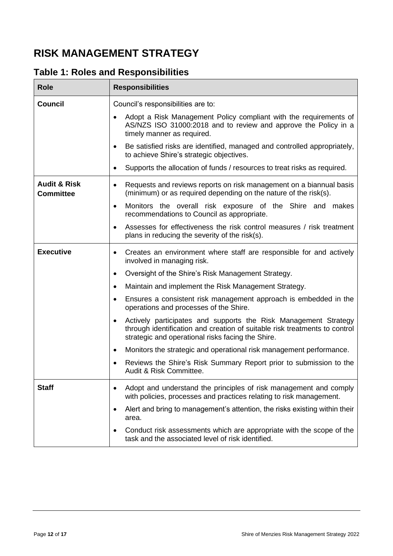<span id="page-11-0"></span>

|  |  |  | <b>Table 1: Roles and Responsibilities</b> |
|--|--|--|--------------------------------------------|
|--|--|--|--------------------------------------------|

| <b>Role</b>                                 | <b>Responsibilities</b>                                                                                                                                                                                                                                                                                                                                                                                                                                                                                                                                                                                                                                                                                                                                                                                |
|---------------------------------------------|--------------------------------------------------------------------------------------------------------------------------------------------------------------------------------------------------------------------------------------------------------------------------------------------------------------------------------------------------------------------------------------------------------------------------------------------------------------------------------------------------------------------------------------------------------------------------------------------------------------------------------------------------------------------------------------------------------------------------------------------------------------------------------------------------------|
| <b>Council</b>                              | Council's responsibilities are to:<br>Adopt a Risk Management Policy compliant with the requirements of<br>$\bullet$<br>AS/NZS ISO 31000:2018 and to review and approve the Policy in a<br>timely manner as required.<br>Be satisfied risks are identified, managed and controlled appropriately,<br>$\bullet$<br>to achieve Shire's strategic objectives.<br>Supports the allocation of funds / resources to treat risks as required.<br>$\bullet$                                                                                                                                                                                                                                                                                                                                                    |
| <b>Audit &amp; Risk</b><br><b>Committee</b> | Requests and reviews reports on risk management on a biannual basis<br>$\bullet$<br>(minimum) or as required depending on the nature of the risk(s).<br>Monitors the overall risk exposure of the Shire and makes<br>$\bullet$<br>recommendations to Council as appropriate.<br>Assesses for effectiveness the risk control measures / risk treatment<br>$\bullet$<br>plans in reducing the severity of the risk(s).                                                                                                                                                                                                                                                                                                                                                                                   |
| <b>Executive</b>                            | Creates an environment where staff are responsible for and actively<br>$\bullet$<br>involved in managing risk.<br>Oversight of the Shire's Risk Management Strategy.<br>$\bullet$<br>Maintain and implement the Risk Management Strategy.<br>$\bullet$<br>Ensures a consistent risk management approach is embedded in the<br>$\bullet$<br>operations and processes of the Shire.<br>Actively participates and supports the Risk Management Strategy<br>$\bullet$<br>through identification and creation of suitable risk treatments to control<br>strategic and operational risks facing the Shire.<br>Monitors the strategic and operational risk management performance.<br>$\bullet$<br>Reviews the Shire's Risk Summary Report prior to submission to the<br>$\bullet$<br>Audit & Risk Committee. |
| <b>Staff</b>                                | Adopt and understand the principles of risk management and comply<br>$\bullet$<br>with policies, processes and practices relating to risk management.<br>Alert and bring to management's attention, the risks existing within their<br>$\bullet$<br>area.<br>Conduct risk assessments which are appropriate with the scope of the<br>$\bullet$<br>task and the associated level of risk identified.                                                                                                                                                                                                                                                                                                                                                                                                    |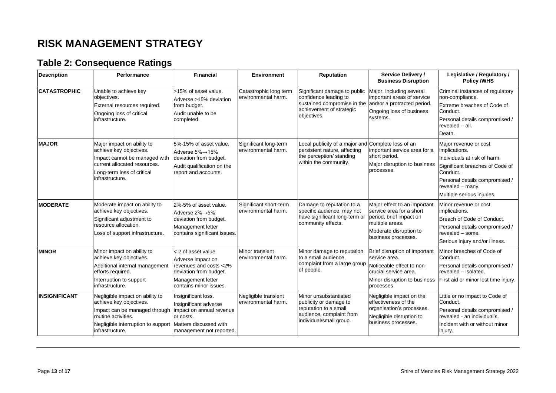### **Table 2: Consequence Ratings**

<span id="page-12-0"></span>

| <b>Description</b>   | Performance                                                                                                                                                                 | <b>Financial</b>                                                                                                                            | <b>Environment</b>                            | Reputation                                                                                                                              | <b>Service Delivery /</b><br><b>Business Disruption</b>                                                                                                 | Legislative / Regulatory /<br><b>Policy /WHS</b>                                                                                                                                                          |
|----------------------|-----------------------------------------------------------------------------------------------------------------------------------------------------------------------------|---------------------------------------------------------------------------------------------------------------------------------------------|-----------------------------------------------|-----------------------------------------------------------------------------------------------------------------------------------------|---------------------------------------------------------------------------------------------------------------------------------------------------------|-----------------------------------------------------------------------------------------------------------------------------------------------------------------------------------------------------------|
| <b>CATASTROPHIC</b>  | Unable to achieve key<br>objectives.<br>External resources required.<br>Ongoing loss of critical<br>infrastructure.                                                         | >15% of asset value.<br>Adverse >15% deviation<br>from budget.<br>Audit unable to be<br>completed.                                          | Catastrophic long term<br>environmental harm. | Significant damage to public<br>confidence leading to<br>sustained compromise in the<br>achievement of strategic<br>objectives.         | Major, including several<br>important areas of service<br>and/or a protracted period.<br>Ongoing loss of business<br>systems.                           | Criminal instances of regulatory<br>non-compliance.<br>Extreme breaches of Code of<br>Conduct.<br>Personal details compromised /<br>revealed - all.<br>Death.                                             |
| <b>MAJOR</b>         | Major impact on ability to<br>achieve key objectives.<br>Impact cannot be managed with<br>current allocated resources.<br>Long-term loss of critical<br>infrastructure.     | 5%-15% of asset value.<br>Adverse 5%→15%<br>deviation from budget.<br>Audit qualification on the<br>report and accounts.                    | Significant long-term<br>environmental harm.  | Local publicity of a major and Complete loss of an<br>persistent nature, affecting<br>the perception/ standing<br>within the community. | important service area for a<br>short period.<br>Major disruption to business<br>processes.                                                             | Major revenue or cost<br>implications.<br>Individuals at risk of harm.<br>Significant breaches of Code of<br>Conduct.<br>Personal details compromised /<br>revealed - many.<br>Multiple serious injuries. |
| <b>MODERATE</b>      | Moderate impact on ability to<br>achieve key objectives.<br>Significant adjustment to<br>resource allocation.<br>Loss of support infrastructure.                            | 2%-5% of asset value.<br>Adverse 2%→5%<br>deviation from budget.<br>Management letter<br>contains significant issues.                       | Significant short-term<br>environmental harm. | Damage to reputation to a<br>specific audience, may not<br>have significant long-term or<br>community effects.                          | Major effect to an important<br>service area for a short<br>period, brief impact on<br>multiple areas.<br>Moderate disruption to<br>business processes. | Minor revenue or cost<br>implications.<br>Breach of Code of Conduct.<br>Personal details compromised /<br>revealed - some.<br>Serious injury and/or illness.                                              |
| <b>MINOR</b>         | Minor impact on ability to<br>achieve key objectives.<br>Additional internal management<br>efforts required.<br>Interruption to support<br>infrastructure.                  | < 2 of asset value.<br>Adverse impact on<br>revenues and costs <2%<br>deviation from budget.<br>Management letter<br>contains minor issues. | <b>Minor transient</b><br>environmental harm. | Minor damage to reputation<br>to a small audience,<br>complaint from a large group<br>of people.                                        | Brief disruption of important<br>service area.<br>Noticeable effect to non-<br>crucial service area.<br>Minor disruption to business<br>processes.      | Minor breaches of Code of<br>Conduct.<br>Personal details compromised /<br>revealed - isolated.<br>First aid or minor lost time injury.                                                                   |
| <b>INSIGNIFICANT</b> | Negligible impact on ability to<br>achieve key objectives.<br>Impact can be managed through<br>routine activities.<br>Negligible interruption to support<br>infrastructure. | Insignificant loss.<br>Insignificant adverse<br>impact on annual revenue<br>or costs.<br>Matters discussed with<br>management not reported. | Negligible transient<br>environmental harm.   | Minor unsubstantiated<br>publicity or damage to<br>reputation to a small<br>audience, complaint from<br>individual/small group.         | Negligible impact on the<br>effectiveness of the<br>organisation's processes.<br>Negligible disruption to<br>business processes.                        | Little or no impact to Code of<br>Conduct.<br>Personal details compromised /<br>revealed - an individual's.<br>Incident with or without minor<br>injury.                                                  |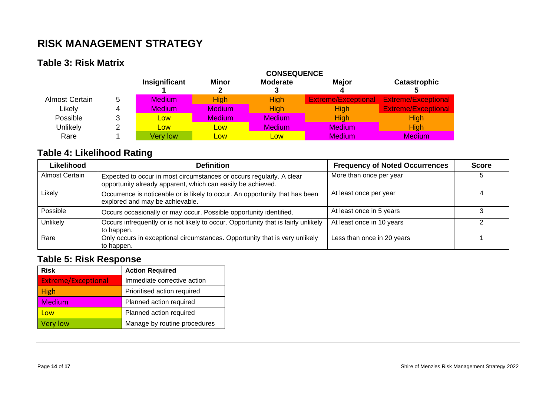### **Table 3: Risk Matrix**

|                |   | <b>CONSEQUENCE</b> |               |                      |                            |                            |
|----------------|---|--------------------|---------------|----------------------|----------------------------|----------------------------|
|                |   | Insignificant      | <b>Minor</b>  | <b>Moderate</b><br>J | <b>Major</b>               | <b>Catastrophic</b>        |
| Almost Certain | 5 | <b>Medium</b>      | <b>High</b>   | High                 | <b>Extreme/Exceptional</b> | <b>Extreme/Exceptional</b> |
| Likely         |   | <b>Medium</b>      | <b>Medium</b> | <b>High</b>          | <b>High</b>                | <b>Extreme/Exceptional</b> |
| Possible       |   | Low                | <b>Medium</b> | <b>Medium</b>        | <b>High</b>                | High                       |
| Unlikely       |   | Low                | Low           | <b>Medium</b>        | <b>Medium</b>              | <b>High</b>                |
| Rare           |   | <b>Very low</b>    | Low           | <b>Low</b>           | <b>Medium</b>              | <b>Medium</b>              |

### **Table 4: Likelihood Rating**

| Likelihood     | <b>Definition</b>                                                                                                                   | <b>Frequency of Noted Occurrences</b> | <b>Score</b> |
|----------------|-------------------------------------------------------------------------------------------------------------------------------------|---------------------------------------|--------------|
| Almost Certain | Expected to occur in most circumstances or occurs regularly. A clear<br>opportunity already apparent, which can easily be achieved. | More than once per year               |              |
| Likely         | Occurrence is noticeable or is likely to occur. An opportunity that has been<br>explored and may be achievable.                     | At least once per year                |              |
| Possible       | Occurs occasionally or may occur. Possible opportunity identified.                                                                  | At least once in 5 years              |              |
| Unlikely       | Occurs infrequently or is not likely to occur. Opportunity that is fairly unlikely<br>to happen.                                    | At least once in 10 years             |              |
| Rare           | Only occurs in exceptional circumstances. Opportunity that is very unlikely<br>to happen.                                           | Less than once in 20 years            |              |

### <span id="page-13-0"></span>**Table 5: Risk Response**

<span id="page-13-2"></span><span id="page-13-1"></span>

| <b>Risk</b>                | <b>Action Required</b>       |
|----------------------------|------------------------------|
| <b>Extreme/Exceptional</b> | Immediate corrective action  |
| High                       | Prioritised action required  |
| <b>Medium</b>              | Planned action required      |
| Low                        | Planned action required      |
| Very low                   | Manage by routine procedures |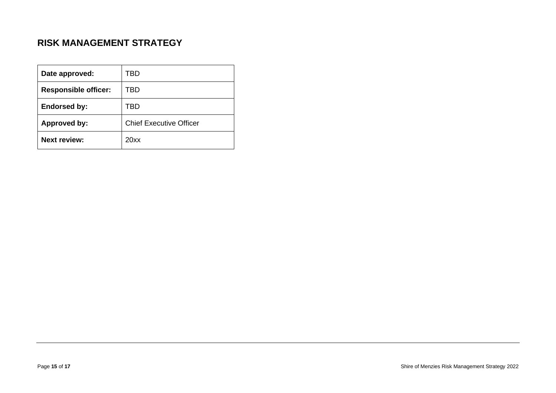| Date approved:              | TBD                            |
|-----------------------------|--------------------------------|
| <b>Responsible officer:</b> | TBD                            |
| <b>Endorsed by:</b>         | TBD                            |
| <b>Approved by:</b>         | <b>Chief Executive Officer</b> |
| <b>Next review:</b>         | 20xx                           |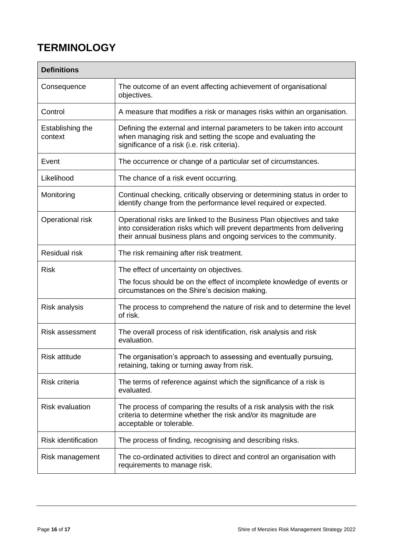## <span id="page-15-0"></span>**TERMINOLOGY**

| <b>Definitions</b>          |                                                                                                                                                                                                                        |  |  |  |
|-----------------------------|------------------------------------------------------------------------------------------------------------------------------------------------------------------------------------------------------------------------|--|--|--|
| Consequence                 | The outcome of an event affecting achievement of organisational<br>objectives.                                                                                                                                         |  |  |  |
| Control                     | A measure that modifies a risk or manages risks within an organisation.                                                                                                                                                |  |  |  |
| Establishing the<br>context | Defining the external and internal parameters to be taken into account<br>when managing risk and setting the scope and evaluating the<br>significance of a risk (i.e. risk criteria).                                  |  |  |  |
| Event                       | The occurrence or change of a particular set of circumstances.                                                                                                                                                         |  |  |  |
| Likelihood                  | The chance of a risk event occurring.                                                                                                                                                                                  |  |  |  |
| Monitoring                  | Continual checking, critically observing or determining status in order to<br>identify change from the performance level required or expected.                                                                         |  |  |  |
| Operational risk            | Operational risks are linked to the Business Plan objectives and take<br>into consideration risks which will prevent departments from delivering<br>their annual business plans and ongoing services to the community. |  |  |  |
| <b>Residual risk</b>        | The risk remaining after risk treatment.                                                                                                                                                                               |  |  |  |
| <b>Risk</b>                 | The effect of uncertainty on objectives.                                                                                                                                                                               |  |  |  |
|                             | The focus should be on the effect of incomplete knowledge of events or<br>circumstances on the Shire's decision making.                                                                                                |  |  |  |
| Risk analysis               | The process to comprehend the nature of risk and to determine the level<br>of risk.                                                                                                                                    |  |  |  |
| <b>Risk assessment</b>      | The overall process of risk identification, risk analysis and risk<br>evaluation.                                                                                                                                      |  |  |  |
| <b>Risk attitude</b>        | The organisation's approach to assessing and eventually pursuing,<br>retaining, taking or turning away from risk.                                                                                                      |  |  |  |
| Risk criteria               | The terms of reference against which the significance of a risk is<br>evaluated.                                                                                                                                       |  |  |  |
| <b>Risk evaluation</b>      | The process of comparing the results of a risk analysis with the risk<br>criteria to determine whether the risk and/or its magnitude are<br>acceptable or tolerable.                                                   |  |  |  |
| <b>Risk identification</b>  | The process of finding, recognising and describing risks.                                                                                                                                                              |  |  |  |
| Risk management             | The co-ordinated activities to direct and control an organisation with<br>requirements to manage risk.                                                                                                                 |  |  |  |